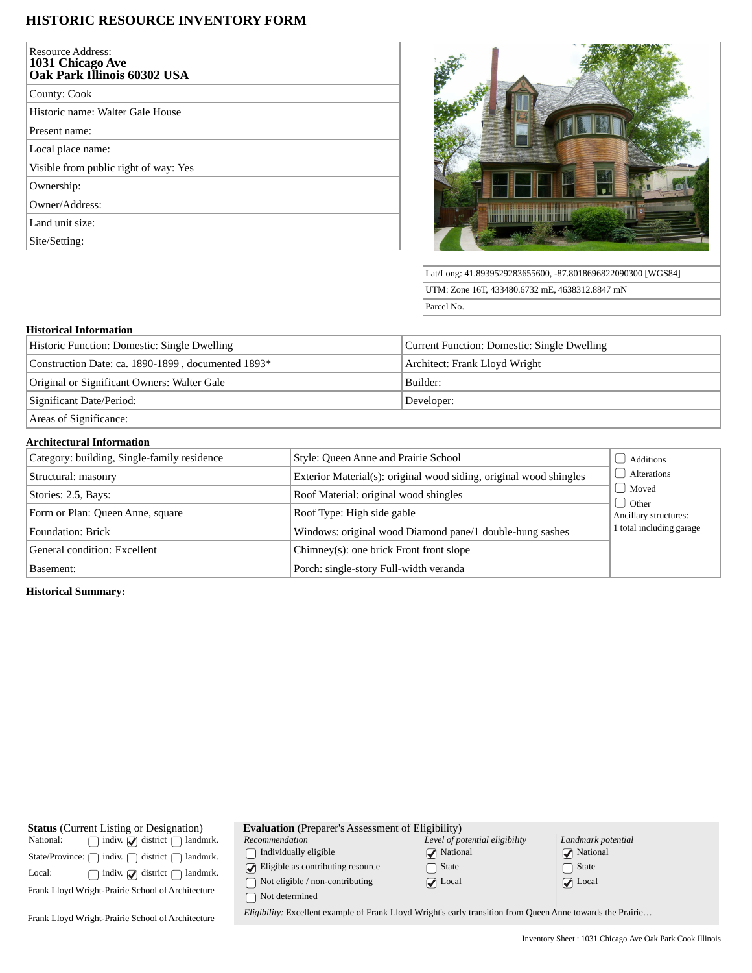## **HISTORIC RESOURCE INVENTORY FORM**

| <b>Resource Address:</b><br>1031 Chicago Ave<br>Oak Park Illinois 60302 USA |
|-----------------------------------------------------------------------------|
| County: Cook                                                                |
| Historic name: Walter Gale House                                            |
| Present name:                                                               |
| Local place name:                                                           |
| Visible from public right of way: Yes                                       |
| Ownership:                                                                  |
| Owner/Address:                                                              |
| Land unit size:                                                             |
| Site/Setting:                                                               |



Lat/Long: 41.8939529283655600, -87.8018696822090300 [WGS84] UTM: Zone 16T, 433480.6732 mE, 4638312.8847 mN Parcel No.

### **Historical Information**

| Historic Function: Domestic: Single Dwelling       | Current Function: Domestic: Single Dwelling |
|----------------------------------------------------|---------------------------------------------|
| Construction Date: ca. 1890-1899, documented 1893* | Architect: Frank Lloyd Wright               |
| Original or Significant Owners: Walter Gale        | Builder:                                    |
| Significant Date/Period:                           | Developer:                                  |
| Areas of Significance:                             |                                             |

# **Architectural Information**

| Category: building, Single-family residence | Style: Queen Anne and Prairie School                               | Additions                |  |  |
|---------------------------------------------|--------------------------------------------------------------------|--------------------------|--|--|
| Structural: masonry                         | Exterior Material(s): original wood siding, original wood shingles | Alterations              |  |  |
| Stories: 2.5, Bays:                         | Roof Material: original wood shingles                              | Moved<br>d Other         |  |  |
| Form or Plan: Queen Anne, square            | Roof Type: High side gable                                         |                          |  |  |
| <b>Foundation: Brick</b>                    | Windows: original wood Diamond pane/1 double-hung sashes           | 1 total including garage |  |  |
| General condition: Excellent                | Chimney(s): one brick Front front slope                            |                          |  |  |
| Basement:                                   | Porch: single-story Full-width veranda                             |                          |  |  |

## **Historical Summary:**

| <b>Status</b> (Current Listing or Designation)                | <b>Evaluation</b> (Preparer's Assessment of Eligibility)                                                    |                                |                               |  |
|---------------------------------------------------------------|-------------------------------------------------------------------------------------------------------------|--------------------------------|-------------------------------|--|
| indiv. $\bigcirc$ district $\bigcap$<br>landmrk.<br>National: | Recommendation                                                                                              | Level of potential eligibility | Landmark potential            |  |
| district f<br>indiv.<br>State/Province: $\bigcap$<br>landmrk. | Individually eligible                                                                                       | $\sqrt{\phantom{a}}$ National  | $\sqrt{\phantom{a}}$ National |  |
| indiv. $\bigcirc$ district $\bigcap$<br>landmrk.<br>Local:    | $\triangledown$ Eligible as contributing resource                                                           | State                          | State                         |  |
|                                                               | Not eligible / non-contributing                                                                             | $\sqrt{ }$ Local               | $\sqrt{\phantom{a}}$ Local    |  |
| Frank Lloyd Wright-Prairie School of Architecture             | Not determined                                                                                              |                                |                               |  |
| Frank Lloyd Wright-Prairie School of Architecture             | Eligibility: Excellent example of Frank Lloyd Wright's early transition from Queen Anne towards the Prairie |                                |                               |  |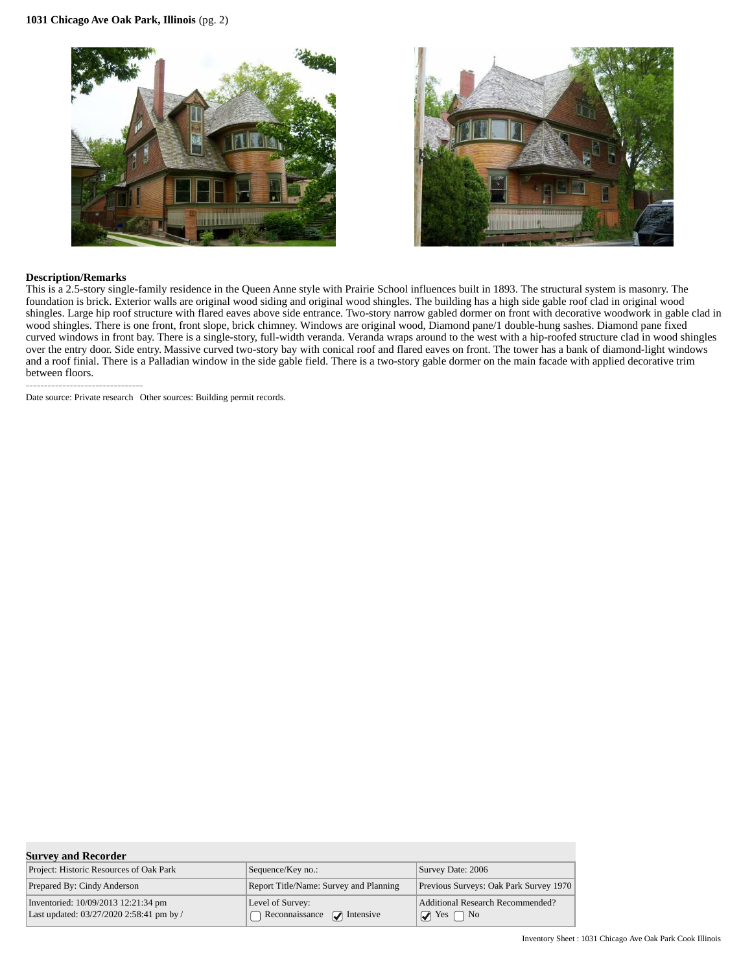



#### **Description/Remarks**

--------------------------------

This is a 2.5-story single-family residence in the Queen Anne style with Prairie School influences built in 1893. The structural system is masonry. The foundation is brick. Exterior walls are original wood siding and original wood shingles. The building has a high side gable roof clad in original wood shingles. Large hip roof structure with flared eaves above side entrance. Two-story narrow gabled dormer on front with decorative woodwork in gable clad in wood shingles. There is one front, front slope, brick chimney. Windows are original wood, Diamond pane/1 double-hung sashes. Diamond pane fixed curved windows in front bay. There is a single-story, full-width veranda. Veranda wraps around to the west with a hip-roofed structure clad in wood shingles over the entry door. Side entry. Massive curved two-story bay with conical roof and flared eaves on front. The tower has a bank of diamond-light windows and a roof finial. There is a Palladian window in the side gable field. There is a two-story gable dormer on the main facade with applied decorative trim between floors.

Date source: Private research Other sources: Building permit records.

| <b>Survey and Recorder</b>                                                      |                                                     |                                                                      |  |  |  |
|---------------------------------------------------------------------------------|-----------------------------------------------------|----------------------------------------------------------------------|--|--|--|
| Project: Historic Resources of Oak Park                                         | Sequence/Key no.:                                   | Survey Date: 2006                                                    |  |  |  |
| Prepared By: Cindy Anderson                                                     | Report Title/Name: Survey and Planning              | Previous Surveys: Oak Park Survey 1970                               |  |  |  |
| Inventoried: 10/09/2013 12:21:34 pm<br>Last updated: 03/27/2020 2:58:41 pm by / | Level of Survey:<br>Reconnaissance $\Box$ Intensive | Additional Research Recommended?<br>$\sqrt{2}$ Yes  <br>$\bigcap$ No |  |  |  |